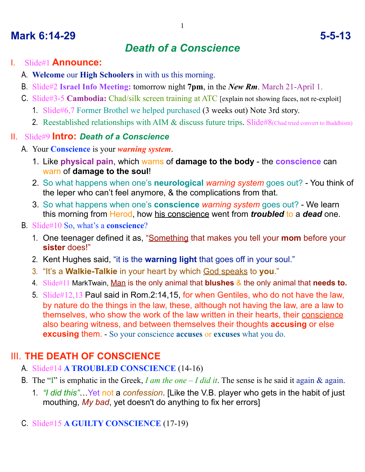# **Mark 6:14-29 5-5-13**

# *Death of a Conscience*

### I. Slide#1 **Announce:**

- A. **Welcome** our **High Schoolers** in with us this morning.
- B. Slide#2 **Israel Info Meeting:** tomorrow night **7pm**, in the *New Rm*. March 21-April 1.
- C. Slide#3-5 **Cambodia:** Chad/silk screen training at ATC [explain not showing faces, not re-exploit]
	- 1. Slide#6,7 Former Brothel we helped purchased (3 weeks out) Note 3rd story.
	- 2. Reestablished relationships with AIM & discuss future trips. Slide#8(Chad tried convert to Buddhism)

#### II. Slide#9 **Intro:** *Death of a Conscience*

- A. Your **Conscience** is your *warning system*.
	- 1. Like **physical pain**, which warns of **damage to the body** the **conscience** can warn of **damage to the soul**!
	- 2. So what happens when one's **neurological** *warning system* goes out? You think of the leper who can't feel anymore, & the complications from that.
	- 3. So what happens when one's **conscience** *warning system* goes out? We learn this morning from Herod, how his conscience went from *troubled* to a *dead* one.
- B. Slide#10 So, what's a **conscience**?
	- 1. One teenager defined it as, "Something that makes you tell your **mom** before your **sister** does!"
	- 2. Kent Hughes said, "it is the **warning light** that goes off in your soul."
	- 3. "It's a **Walkie-Talkie** in your heart by which God speaks to **you**."
	- 4. Slide#11 MarkTwain, Man is the only animal that **blushes** & the only animal that **needs to.**
	- 5. Slide#12,13 Paul said in Rom.2:14,15, for when Gentiles, who do not have the law, by nature do the things in the law, these, although not having the law, are a law to themselves, who show the work of the law written in their hearts, their conscience also bearing witness, and between themselves their thoughts **accusing** or else **excusing** them. - So your conscience **accuses** or **excuses** what you do.

# III. **THE DEATH OF CONSCIENCE**

- A. Slide#14 **A TROUBLED CONSCIENCE** (14-16)
- B. The "I" is emphatic in the Greek, *I am the one I did it*. The sense is he said it again & again.
	- 1. *"I did this"*…Yet not a *confession*. [Like the V.B. player who gets in the habit of just mouthing, *My bad*, yet doesn't do anything to fix her errors]
- C. Slide#15 **A GUILTY CONSCIENCE** (17-19)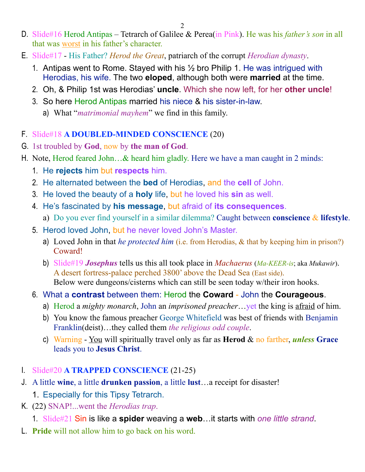- D. Slide#16 Herod Antipas Tetrarch of Galilee & Perea(in Pink). He was his *father's son* in all that was worst in his father's character.
- E. Slide#17 His Father? *Herod the Great*, patriarch of the corrupt *Herodian dynasty*.
	- 1. Antipas went to Rome. Stayed with his ½ bro Philip 1. He was intrigued with Herodias, his wife. The two **eloped**, although both were **married** at the time.
	- 2. Oh, & Philip 1st was Herodias' **uncle**. Which she now left, for her **other uncle**!
	- 3. So here Herod Antipas married his niece & his sister-in-law.
		- a) What "*matrimonial mayhem*" we find in this family.
- F. Slide#18 **A DOUBLED-MINDED CONSCIENCE** (20)
- G. 1st troubled by **God**, now by **the man of God**.
- H. Note, Herod feared John…& heard him gladly. Here we have a man caught in 2 minds:
	- 1. He **rejects** him but **respects** him.
	- 2. He alternated between the **bed** of Herodias, and the **cell** of John.
	- 3. He loved the beauty of a **holy** life, but he loved his **sin** as well.
	- 4. He's fascinated by **his message**, but afraid of **its consequences**.
		- a) Do you ever find yourself in a similar dilemma? Caught between **conscience** & **lifestyle**.
	- 5. Herod loved John, but he never loved John's Master.
		- a) Loved John in that *he protected him* (i.e. from Herodias, & that by keeping him in prison?) Coward!
		- b) Slide#19 *Josephus* tells us this all took place in *Machaerus* (*Ma-KEER-is*; aka *Mukawir*). A desert fortress-palace perched 3800' above the Dead Sea (East side). Below were dungeons/cisterns which can still be seen today w/their iron hooks.
	- 6. What a **contrast** between them: Herod the **Coward** John the **Courageous**.
		- a) Herod a *mighty monarch*, John an *imprisoned preacher*…yet the king is afraid of him.
		- b) You know the famous preacher George Whitefield was best of friends with Benjamin Franklin(deist)…they called them *the religious odd couple*.
		- c) Warning You will spiritually travel only as far as **Herod** & no farther, *unless* **Grace** leads you to **Jesus Christ**.
- I. Slide#20 **A TRAPPED CONSCIENCE** (21-25)
- J. A little **wine**, a little **drunken passion**, a little **lust**…a receipt for disaster!
	- 1. Especially for this Tipsy Tetrarch.
- K. (22) SNAP!...went the *Herodias trap*.
	- 1. Slide#21 Sin is like a **spider** weaving a **web**…it starts with *one little strand*.
- L. **Pride** will not allow him to go back on his word.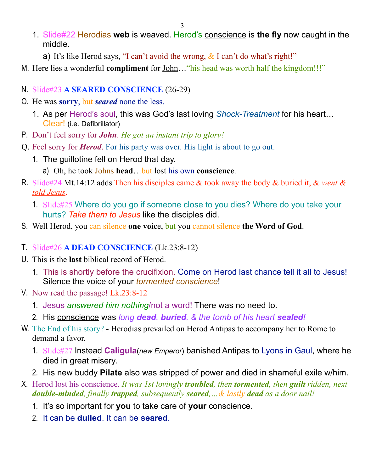- 1. Slide#22 Herodias **web** is weaved. Herod's conscience is **the fly** now caught in the middle.
	- a) It's like Herod says, "I can't avoid the wrong,  $\&$  I can't do what's right!"
- M. Here lies a wonderful **compliment** for <u>John</u>... "his head was worth half the kingdom!!!"
- N. Slide#23 **A SEARED CONSCIENCE** (26-29)
- O. He was **sorry**, but *seared* none the less.
	- 1. As per Herod's soul, this was God's last loving *Shock-Treatment* for his heart… Clear! (i.e. Defibrillator)
- P. Don't feel sorry for *John*. *He got an instant trip to glory!*
- Q. Feel sorry for *Herod*. For his party was over. His light is about to go out.
	- 1. The guillotine fell on Herod that day.
		- a) Oh, he took Johns **head**…but lost his own **conscience**.
- R. Slide#24 Mt.14:12 adds Then his disciples came & took away the body & buried it, & *went & told Jesus*.
	- 1. Slide#25 Where do you go if someone close to you dies? Where do you take your hurts? *Take them to Jesus* like the disciples did.
- S. Well Herod, you can silence **one voic**e, but you cannot silence **the Word of God**.
- T. Slide#26 **A DEAD CONSCIENCE** (Lk.23:8-12)
- U. This is the **last** biblical record of Herod.
	- 1. This is shortly before the crucifixion. Come on Herod last chance tell it all to Jesus! Silence the voice of your *tormented conscience*!
- V. Now read the passage! Lk.23:8-12
	- 1. Jesus *answered him nothing*/not a word! There was no need to.
	- 2. His conscience was *long dead, buried, & the tomb of his heart sealed!*
- W. The End of his story? Herodias prevailed on Herod Antipas to accompany her to Rome to demand a favor.
	- 1. Slide#27 Instead **Caligula**(*new Emperor*) banished Antipas to Lyons in Gaul, where he died in great misery.
	- 2. His new buddy **Pilate** also was stripped of power and died in shameful exile w/him.
- X. Herod lost his conscience. *It was 1st lovingly troubled, then tormented, then guilt ridden, next double-minded, finally trapped, subsequently seared,…& lastly dead as a door nail!*
	- 1. It's so important for **you** to take care of **your** conscience.
	- 2. It can be **dulled**. It can be **seared**.